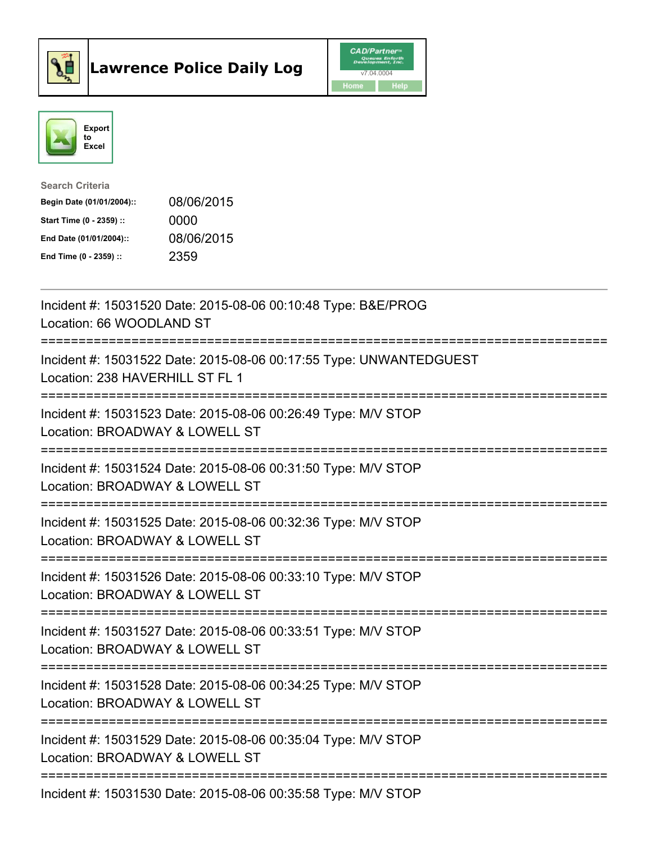



| <b>Search Criteria</b>    |            |
|---------------------------|------------|
| Begin Date (01/01/2004):: | 08/06/2015 |
| Start Time (0 - 2359) ::  | 0000       |
| End Date (01/01/2004)::   | 08/06/2015 |
| End Time (0 - 2359) ::    | 2359       |

| Incident #: 15031520 Date: 2015-08-06 00:10:48 Type: B&E/PROG<br>Location: 66 WOODLAND ST                                                              |
|--------------------------------------------------------------------------------------------------------------------------------------------------------|
| Incident #: 15031522 Date: 2015-08-06 00:17:55 Type: UNWANTEDGUEST<br>Location: 238 HAVERHILL ST FL 1                                                  |
| Incident #: 15031523 Date: 2015-08-06 00:26:49 Type: M/V STOP<br>Location: BROADWAY & LOWELL ST                                                        |
| Incident #: 15031524 Date: 2015-08-06 00:31:50 Type: M/V STOP<br>Location: BROADWAY & LOWELL ST<br>=====================                               |
| Incident #: 15031525 Date: 2015-08-06 00:32:36 Type: M/V STOP<br>Location: BROADWAY & LOWELL ST<br>==========================                          |
| Incident #: 15031526 Date: 2015-08-06 00:33:10 Type: M/V STOP<br>Location: BROADWAY & LOWELL ST<br>============================                        |
| Incident #: 15031527 Date: 2015-08-06 00:33:51 Type: M/V STOP<br>Location: BROADWAY & LOWELL ST<br>:============================<br>================== |
| Incident #: 15031528 Date: 2015-08-06 00:34:25 Type: M/V STOP<br>Location: BROADWAY & LOWELL ST<br>.===========================                        |
| Incident #: 15031529 Date: 2015-08-06 00:35:04 Type: M/V STOP<br>Location: BROADWAY & LOWELL ST                                                        |
| Incident #: 15031530 Date: 2015-08-06 00:35:58 Type: M/V STOP                                                                                          |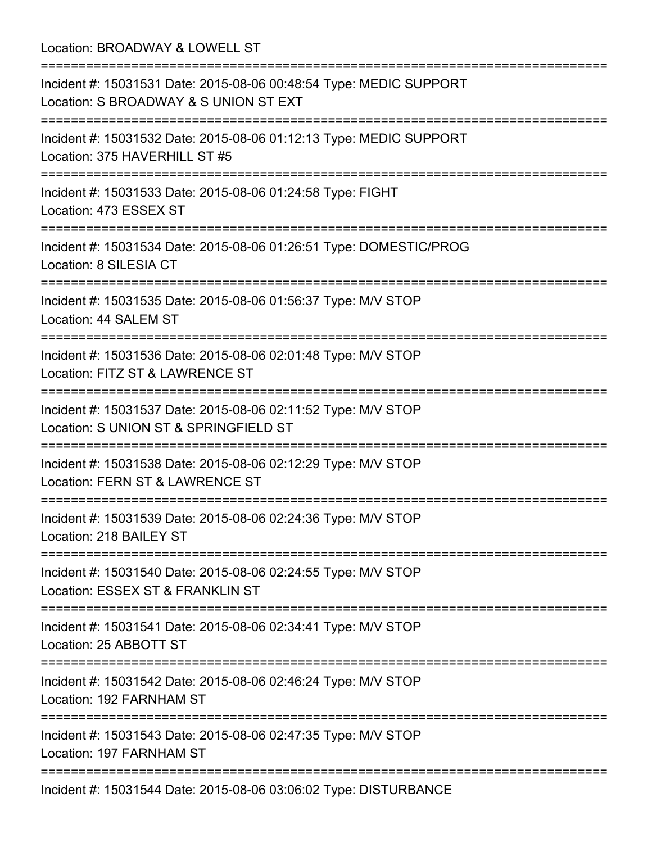| Location: BROADWAY & LOWELL ST                                                                                                                              |
|-------------------------------------------------------------------------------------------------------------------------------------------------------------|
| Incident #: 15031531 Date: 2015-08-06 00:48:54 Type: MEDIC SUPPORT<br>Location: S BROADWAY & S UNION ST EXT<br>==============================               |
| Incident #: 15031532 Date: 2015-08-06 01:12:13 Type: MEDIC SUPPORT<br>Location: 375 HAVERHILL ST #5                                                         |
| Incident #: 15031533 Date: 2015-08-06 01:24:58 Type: FIGHT<br>Location: 473 ESSEX ST                                                                        |
| Incident #: 15031534 Date: 2015-08-06 01:26:51 Type: DOMESTIC/PROG<br>Location: 8 SILESIA CT                                                                |
| :===================<br>Incident #: 15031535 Date: 2015-08-06 01:56:37 Type: M/V STOP<br>Location: 44 SALEM ST                                              |
| Incident #: 15031536 Date: 2015-08-06 02:01:48 Type: M/V STOP<br>Location: FITZ ST & LAWRENCE ST                                                            |
| Incident #: 15031537 Date: 2015-08-06 02:11:52 Type: M/V STOP<br>Location: S UNION ST & SPRINGFIELD ST                                                      |
| Incident #: 15031538 Date: 2015-08-06 02:12:29 Type: M/V STOP<br>Location: FERN ST & LAWRENCE ST                                                            |
| Incident #: 15031539 Date: 2015-08-06 02:24:36 Type: M/V STOP<br>Location: 218 BAILEY ST                                                                    |
| Incident #: 15031540 Date: 2015-08-06 02:24:55 Type: M/V STOP<br>Location: ESSEX ST & FRANKLIN ST                                                           |
| Incident #: 15031541 Date: 2015-08-06 02:34:41 Type: M/V STOP<br>Location: 25 ABBOTT ST                                                                     |
| ===========================<br>===============================<br>Incident #: 15031542 Date: 2015-08-06 02:46:24 Type: M/V STOP<br>Location: 192 FARNHAM ST |
| Incident #: 15031543 Date: 2015-08-06 02:47:35 Type: M/V STOP<br>Location: 197 FARNHAM ST                                                                   |
| Incident #: 15031544 Date: 2015-08-06 03:06:02 Type: DISTURBANCE                                                                                            |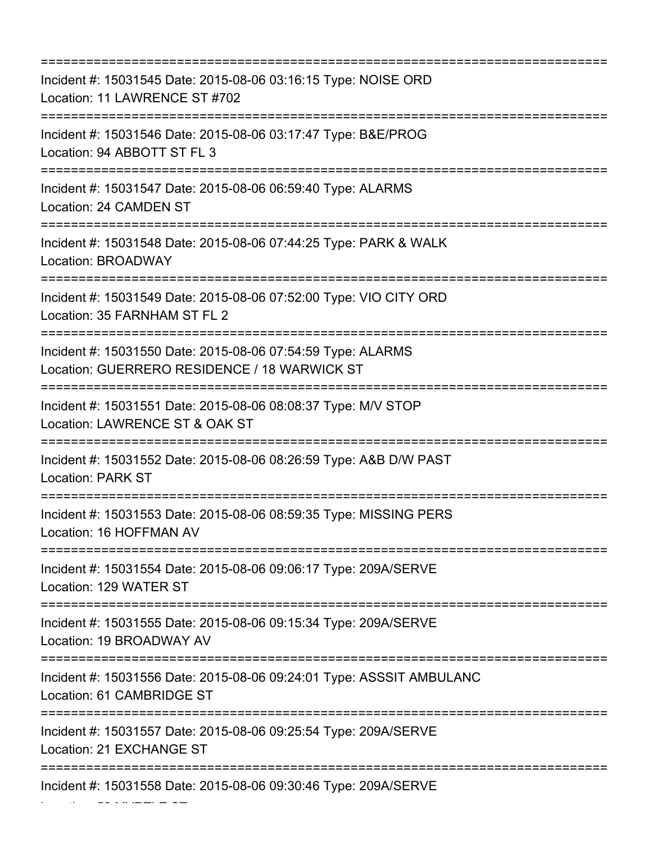| Incident #: 15031545 Date: 2015-08-06 03:16:15 Type: NOISE ORD<br>Location: 11 LAWRENCE ST #702<br>-------------------------        |
|-------------------------------------------------------------------------------------------------------------------------------------|
| Incident #: 15031546 Date: 2015-08-06 03:17:47 Type: B&E/PROG<br>Location: 94 ABBOTT ST FL 3<br>----------------------------------- |
| Incident #: 15031547 Date: 2015-08-06 06:59:40 Type: ALARMS<br>Location: 24 CAMDEN ST                                               |
| Incident #: 15031548 Date: 2015-08-06 07:44:25 Type: PARK & WALK<br>Location: BROADWAY                                              |
| Incident #: 15031549 Date: 2015-08-06 07:52:00 Type: VIO CITY ORD<br>Location: 35 FARNHAM ST FL 2                                   |
| Incident #: 15031550 Date: 2015-08-06 07:54:59 Type: ALARMS<br>Location: GUERRERO RESIDENCE / 18 WARWICK ST                         |
| =============================<br>Incident #: 15031551 Date: 2015-08-06 08:08:37 Type: M/V STOP<br>Location: LAWRENCE ST & OAK ST    |
| Incident #: 15031552 Date: 2015-08-06 08:26:59 Type: A&B D/W PAST<br><b>Location: PARK ST</b>                                       |
| Incident #: 15031553 Date: 2015-08-06 08:59:35 Type: MISSING PERS<br>Location: 16 HOFFMAN AV                                        |
| Incident #: 15031554 Date: 2015-08-06 09:06:17 Type: 209A/SERVE<br>Location: 129 WATER ST                                           |
| Incident #: 15031555 Date: 2015-08-06 09:15:34 Type: 209A/SERVE<br>Location: 19 BROADWAY AV                                         |
| Incident #: 15031556 Date: 2015-08-06 09:24:01 Type: ASSSIT AMBULANC<br>Location: 61 CAMBRIDGE ST                                   |
| Incident #: 15031557 Date: 2015-08-06 09:25:54 Type: 209A/SERVE<br>Location: 21 EXCHANGE ST                                         |
| Incident #: 15031558 Date: 2015-08-06 09:30:46 Type: 209A/SERVE                                                                     |

Location: 52 MYRTLE ST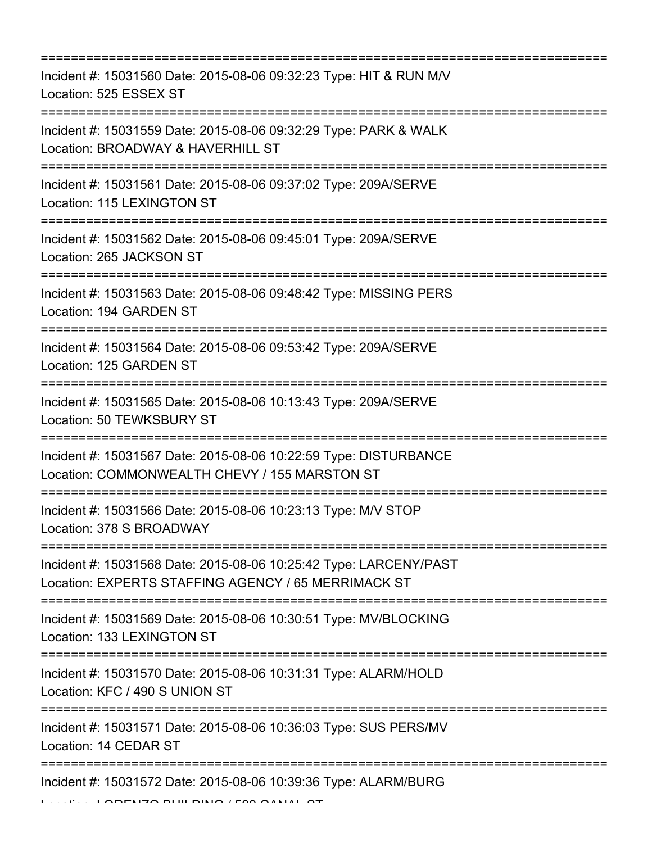| Incident #: 15031560 Date: 2015-08-06 09:32:23 Type: HIT & RUN M/V<br>Location: 525 ESSEX ST                                 |
|------------------------------------------------------------------------------------------------------------------------------|
| Incident #: 15031559 Date: 2015-08-06 09:32:29 Type: PARK & WALK<br>Location: BROADWAY & HAVERHILL ST                        |
| Incident #: 15031561 Date: 2015-08-06 09:37:02 Type: 209A/SERVE<br>Location: 115 LEXINGTON ST<br>----------------------      |
| Incident #: 15031562 Date: 2015-08-06 09:45:01 Type: 209A/SERVE<br>Location: 265 JACKSON ST                                  |
| Incident #: 15031563 Date: 2015-08-06 09:48:42 Type: MISSING PERS<br>Location: 194 GARDEN ST                                 |
| Incident #: 15031564 Date: 2015-08-06 09:53:42 Type: 209A/SERVE<br>Location: 125 GARDEN ST                                   |
| Incident #: 15031565 Date: 2015-08-06 10:13:43 Type: 209A/SERVE<br>Location: 50 TEWKSBURY ST                                 |
| Incident #: 15031567 Date: 2015-08-06 10:22:59 Type: DISTURBANCE<br>Location: COMMONWEALTH CHEVY / 155 MARSTON ST            |
| Incident #: 15031566 Date: 2015-08-06 10:23:13 Type: M/V STOP<br>Location: 378 S BROADWAY                                    |
| Incident #: 15031568 Date: 2015-08-06 10:25:42 Type: LARCENY/PAST<br>Location: EXPERTS STAFFING AGENCY / 65 MERRIMACK ST     |
| ==========================<br>Incident #: 15031569 Date: 2015-08-06 10:30:51 Type: MV/BLOCKING<br>Location: 133 LEXINGTON ST |
| Incident #: 15031570 Date: 2015-08-06 10:31:31 Type: ALARM/HOLD<br>Location: KFC / 490 S UNION ST                            |
| Incident #: 15031571 Date: 2015-08-06 10:36:03 Type: SUS PERS/MV<br>Location: 14 CEDAR ST                                    |
| Incident #: 15031572 Date: 2015-08-06 10:39:36 Type: ALARM/BURG                                                              |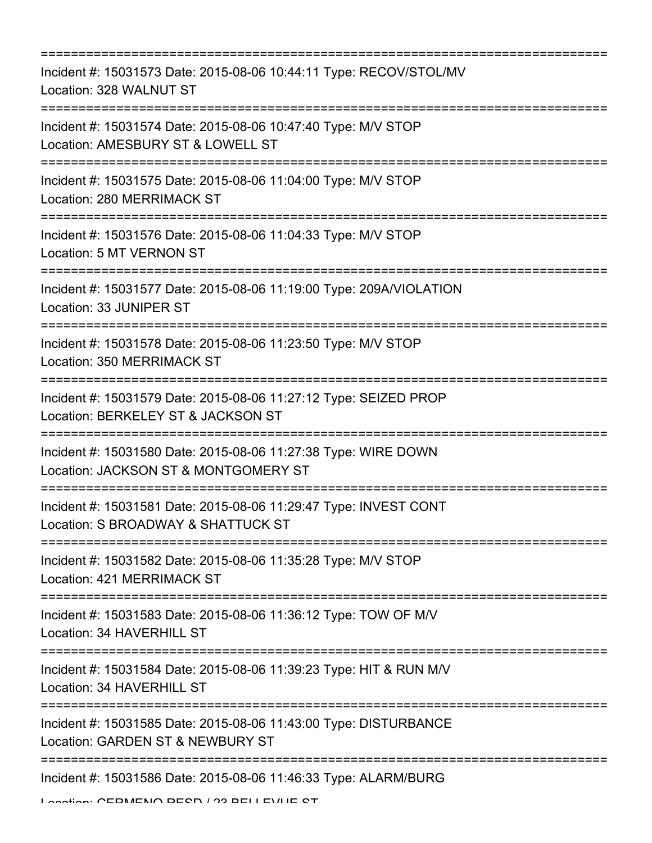| Incident #: 15031573 Date: 2015-08-06 10:44:11 Type: RECOV/STOL/MV<br>Location: 328 WALNUT ST                                  |
|--------------------------------------------------------------------------------------------------------------------------------|
| Incident #: 15031574 Date: 2015-08-06 10:47:40 Type: M/V STOP<br>Location: AMESBURY ST & LOWELL ST                             |
| Incident #: 15031575 Date: 2015-08-06 11:04:00 Type: M/V STOP<br>Location: 280 MERRIMACK ST<br>=============================== |
| Incident #: 15031576 Date: 2015-08-06 11:04:33 Type: M/V STOP<br>Location: 5 MT VERNON ST                                      |
| Incident #: 15031577 Date: 2015-08-06 11:19:00 Type: 209A/VIOLATION<br>Location: 33 JUNIPER ST                                 |
| Incident #: 15031578 Date: 2015-08-06 11:23:50 Type: M/V STOP<br>Location: 350 MERRIMACK ST                                    |
| Incident #: 15031579 Date: 2015-08-06 11:27:12 Type: SEIZED PROP<br>Location: BERKELEY ST & JACKSON ST                         |
| Incident #: 15031580 Date: 2015-08-06 11:27:38 Type: WIRE DOWN<br>Location: JACKSON ST & MONTGOMERY ST                         |
| Incident #: 15031581 Date: 2015-08-06 11:29:47 Type: INVEST CONT<br>Location: S BROADWAY & SHATTUCK ST                         |
| Incident #: 15031582 Date: 2015-08-06 11:35:28 Type: M/V STOP<br>Location: 421 MERRIMACK ST                                    |
| Incident #: 15031583 Date: 2015-08-06 11:36:12 Type: TOW OF M/V<br>Location: 34 HAVERHILL ST                                   |
| Incident #: 15031584 Date: 2015-08-06 11:39:23 Type: HIT & RUN M/V<br>Location: 34 HAVERHILL ST                                |
| Incident #: 15031585 Date: 2015-08-06 11:43:00 Type: DISTURBANCE<br>Location: GARDEN ST & NEWBURY ST                           |
| Incident #: 15031586 Date: 2015-08-06 11:46:33 Type: ALARM/BURG                                                                |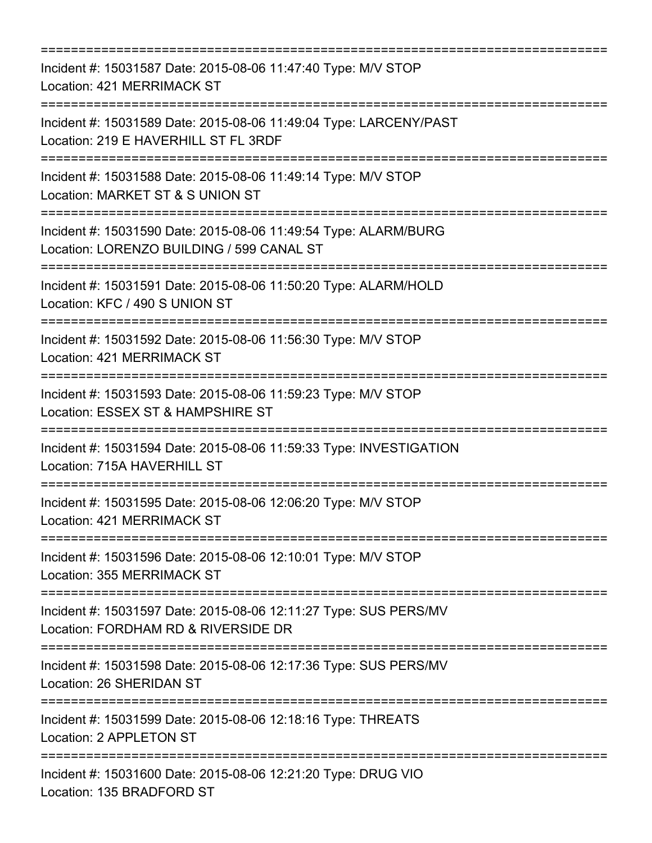=========================================================================== Incident #: 15031587 Date: 2015-08-06 11:47:40 Type: M/V STOP Location: 421 MERRIMACK ST =========================================================================== Incident #: 15031589 Date: 2015-08-06 11:49:04 Type: LARCENY/PAST Location: 219 E HAVERHILL ST FL 3RDF =========================================================================== Incident #: 15031588 Date: 2015-08-06 11:49:14 Type: M/V STOP Location: MARKET ST & S UNION ST =========================================================================== Incident #: 15031590 Date: 2015-08-06 11:49:54 Type: ALARM/BURG Location: LORENZO BUILDING / 599 CANAL ST =========================================================================== Incident #: 15031591 Date: 2015-08-06 11:50:20 Type: ALARM/HOLD Location: KFC / 490 S UNION ST =========================================================================== Incident #: 15031592 Date: 2015-08-06 11:56:30 Type: M/V STOP Location: 421 MERRIMACK ST =========================================================================== Incident #: 15031593 Date: 2015-08-06 11:59:23 Type: M/V STOP Location: ESSEX ST & HAMPSHIRE ST =========================================================================== Incident #: 15031594 Date: 2015-08-06 11:59:33 Type: INVESTIGATION Location: 715A HAVERHILL ST =========================================================================== Incident #: 15031595 Date: 2015-08-06 12:06:20 Type: M/V STOP Location: 421 MERRIMACK ST =========================================================================== Incident #: 15031596 Date: 2015-08-06 12:10:01 Type: M/V STOP Location: 355 MERRIMACK ST =========================================================================== Incident #: 15031597 Date: 2015-08-06 12:11:27 Type: SUS PERS/MV Location: FORDHAM RD & RIVERSIDE DR =========================================================================== Incident #: 15031598 Date: 2015-08-06 12:17:36 Type: SUS PERS/MV Location: 26 SHERIDAN ST =========================================================================== Incident #: 15031599 Date: 2015-08-06 12:18:16 Type: THREATS Location: 2 APPLETON ST =========================================================================== Incident #: 15031600 Date: 2015-08-06 12:21:20 Type: DRUG VIO Location: 135 BRADFORD ST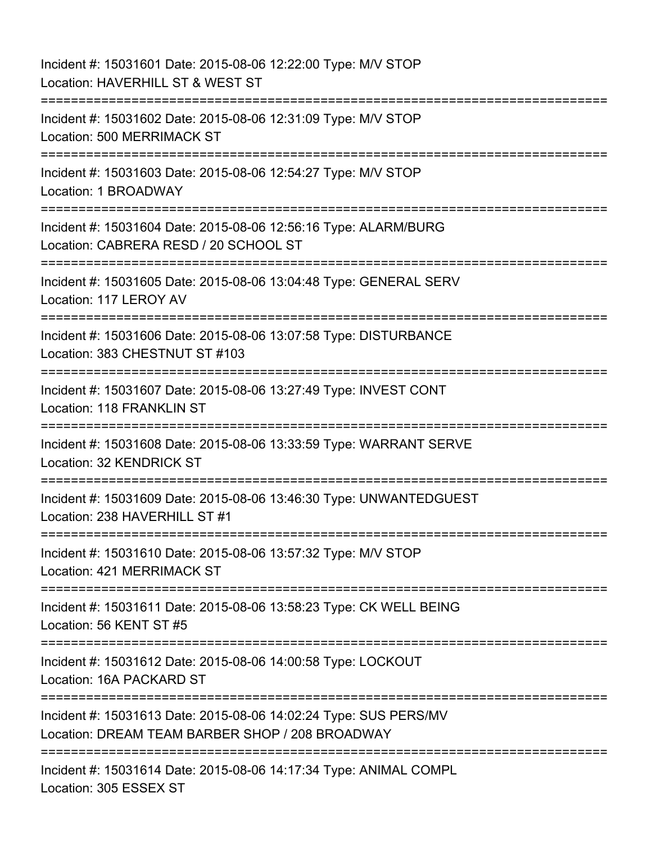Incident #: 15031601 Date: 2015-08-06 12:22:00 Type: M/V STOP Location: HAVERHILL ST & WEST ST =========================================================================== Incident #: 15031602 Date: 2015-08-06 12:31:09 Type: M/V STOP Location: 500 MERRIMACK ST =========================================================================== Incident #: 15031603 Date: 2015-08-06 12:54:27 Type: M/V STOP Location: 1 BROADWAY =========================================================================== Incident #: 15031604 Date: 2015-08-06 12:56:16 Type: ALARM/BURG Location: CABRERA RESD / 20 SCHOOL ST =========================================================================== Incident #: 15031605 Date: 2015-08-06 13:04:48 Type: GENERAL SERV Location: 117 LEROY AV =========================================================================== Incident #: 15031606 Date: 2015-08-06 13:07:58 Type: DISTURBANCE Location: 383 CHESTNUT ST #103 =========================================================================== Incident #: 15031607 Date: 2015-08-06 13:27:49 Type: INVEST CONT Location: 118 FRANKLIN ST =========================================================================== Incident #: 15031608 Date: 2015-08-06 13:33:59 Type: WARRANT SERVE Location: 32 KENDRICK ST =========================================================================== Incident #: 15031609 Date: 2015-08-06 13:46:30 Type: UNWANTEDGUEST Location: 238 HAVERHILL ST #1 =========================================================================== Incident #: 15031610 Date: 2015-08-06 13:57:32 Type: M/V STOP Location: 421 MERRIMACK ST =========================================================================== Incident #: 15031611 Date: 2015-08-06 13:58:23 Type: CK WELL BEING Location: 56 KENT ST #5 =========================================================================== Incident #: 15031612 Date: 2015-08-06 14:00:58 Type: LOCKOUT Location: 16A PACKARD ST =========================================================================== Incident #: 15031613 Date: 2015-08-06 14:02:24 Type: SUS PERS/MV Location: DREAM TEAM BARBER SHOP / 208 BROADWAY =========================================================================== Incident #: 15031614 Date: 2015-08-06 14:17:34 Type: ANIMAL COMPL Location: 305 ESSEX ST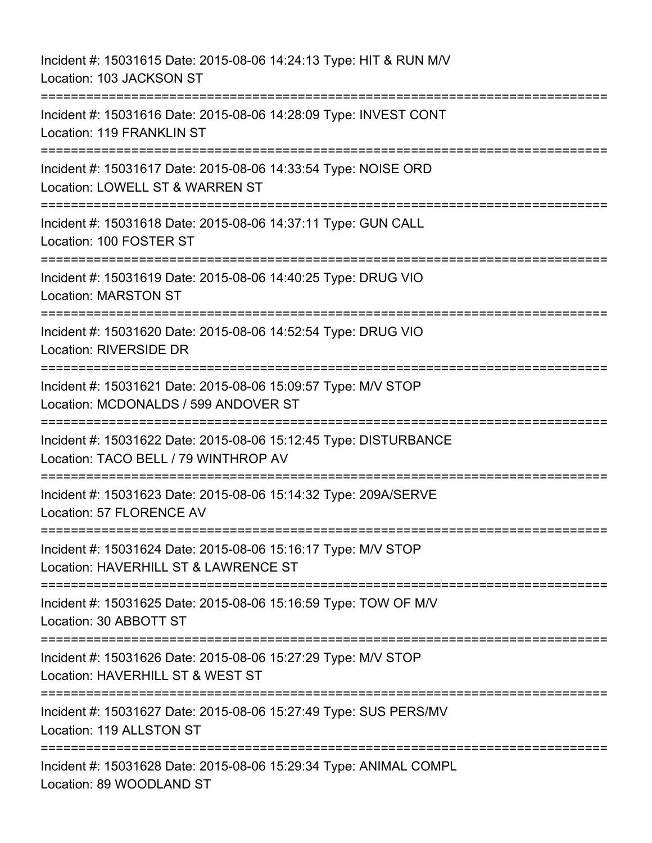Incident #: 15031615 Date: 2015-08-06 14:24:13 Type: HIT & RUN M/V Location: 103 JACKSON ST =========================================================================== Incident #: 15031616 Date: 2015-08-06 14:28:09 Type: INVEST CONT Location: 119 FRANKLIN ST =========================================================================== Incident #: 15031617 Date: 2015-08-06 14:33:54 Type: NOISE ORD Location: LOWELL ST & WARREN ST =========================================================================== Incident #: 15031618 Date: 2015-08-06 14:37:11 Type: GUN CALL Location: 100 FOSTER ST =========================================================================== Incident #: 15031619 Date: 2015-08-06 14:40:25 Type: DRUG VIO Location: MARSTON ST =========================================================================== Incident #: 15031620 Date: 2015-08-06 14:52:54 Type: DRUG VIO Location: RIVERSIDE DR =========================================================================== Incident #: 15031621 Date: 2015-08-06 15:09:57 Type: M/V STOP Location: MCDONALDS / 599 ANDOVER ST =========================================================================== Incident #: 15031622 Date: 2015-08-06 15:12:45 Type: DISTURBANCE Location: TACO BELL / 79 WINTHROP AV ============================= Incident #: 15031623 Date: 2015-08-06 15:14:32 Type: 209A/SERVE Location: 57 FLORENCE AV =========================================================================== Incident #: 15031624 Date: 2015-08-06 15:16:17 Type: M/V STOP Location: HAVERHILL ST & LAWRENCE ST =========================================================================== Incident #: 15031625 Date: 2015-08-06 15:16:59 Type: TOW OF M/V Location: 30 ABBOTT ST =========================================================================== Incident #: 15031626 Date: 2015-08-06 15:27:29 Type: M/V STOP Location: HAVERHILL ST & WEST ST =========================================================================== Incident #: 15031627 Date: 2015-08-06 15:27:49 Type: SUS PERS/MV Location: 119 ALLSTON ST =========================================================================== Incident #: 15031628 Date: 2015-08-06 15:29:34 Type: ANIMAL COMPL Location: 89 WOODLAND ST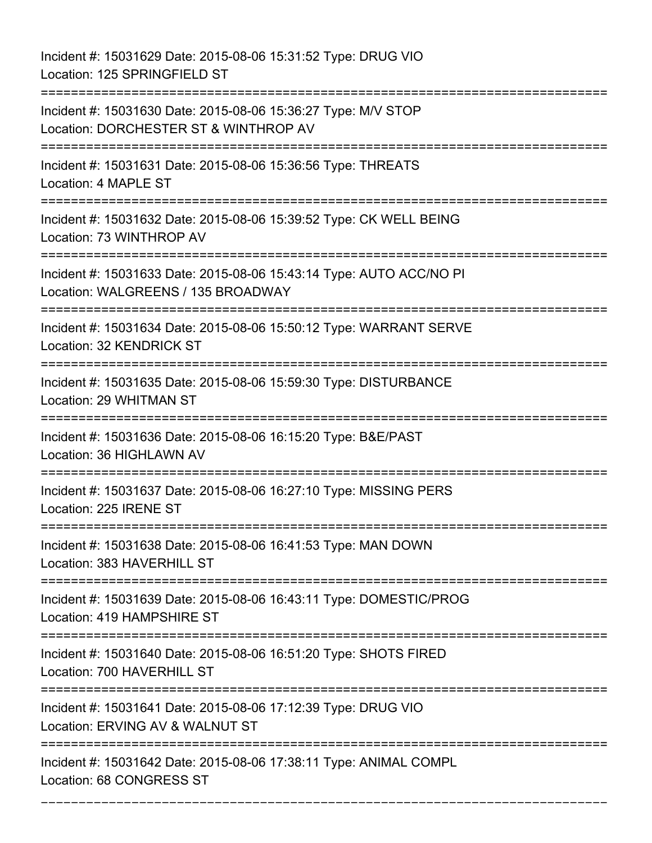Incident #: 15031629 Date: 2015-08-06 15:31:52 Type: DRUG VIO Location: 125 SPRINGFIELD ST =========================================================================== Incident #: 15031630 Date: 2015-08-06 15:36:27 Type: M/V STOP Location: DORCHESTER ST & WINTHROP AV =========================================================================== Incident #: 15031631 Date: 2015-08-06 15:36:56 Type: THREATS Location: 4 MAPLE ST =========================================================================== Incident #: 15031632 Date: 2015-08-06 15:39:52 Type: CK WELL BEING Location: 73 WINTHROP AV =========================================================================== Incident #: 15031633 Date: 2015-08-06 15:43:14 Type: AUTO ACC/NO PI Location: WALGREENS / 135 BROADWAY =========================================================================== Incident #: 15031634 Date: 2015-08-06 15:50:12 Type: WARRANT SERVE Location: 32 KENDRICK ST =========================================================================== Incident #: 15031635 Date: 2015-08-06 15:59:30 Type: DISTURBANCE Location: 29 WHITMAN ST =========================================================================== Incident #: 15031636 Date: 2015-08-06 16:15:20 Type: B&E/PAST Location: 36 HIGHLAWN AV =========================================================================== Incident #: 15031637 Date: 2015-08-06 16:27:10 Type: MISSING PERS Location: 225 IRENE ST =========================================================================== Incident #: 15031638 Date: 2015-08-06 16:41:53 Type: MAN DOWN Location: 383 HAVERHILL ST =========================================================================== Incident #: 15031639 Date: 2015-08-06 16:43:11 Type: DOMESTIC/PROG Location: 419 HAMPSHIRE ST =========================================================================== Incident #: 15031640 Date: 2015-08-06 16:51:20 Type: SHOTS FIRED Location: 700 HAVERHILL ST =========================================================================== Incident #: 15031641 Date: 2015-08-06 17:12:39 Type: DRUG VIO Location: ERVING AV & WALNUT ST =========================================================================== Incident #: 15031642 Date: 2015-08-06 17:38:11 Type: ANIMAL COMPL Location: 68 CONGRESS ST

===========================================================================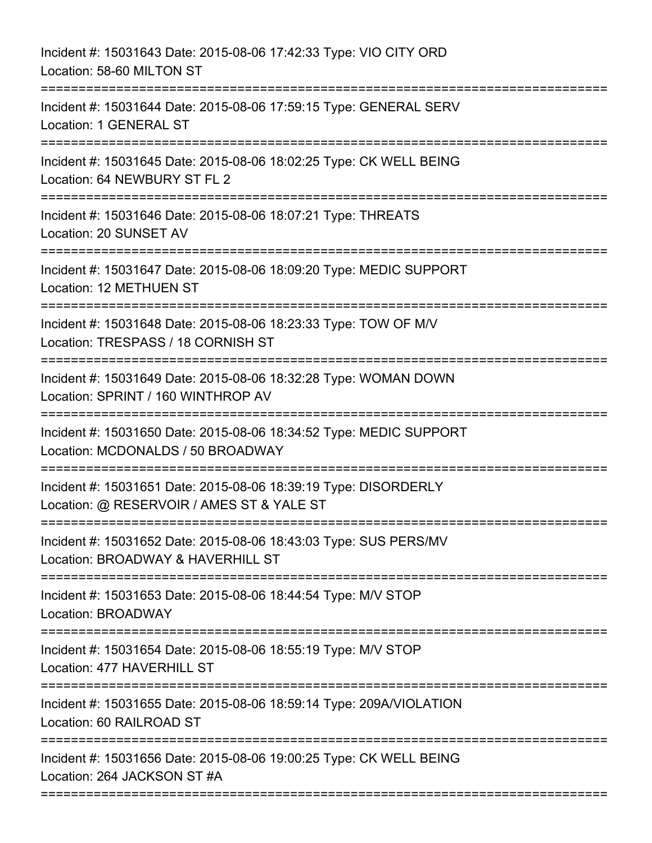| Incident #: 15031643 Date: 2015-08-06 17:42:33 Type: VIO CITY ORD<br>Location: 58-60 MILTON ST                                               |
|----------------------------------------------------------------------------------------------------------------------------------------------|
| Incident #: 15031644 Date: 2015-08-06 17:59:15 Type: GENERAL SERV<br>Location: 1 GENERAL ST                                                  |
| Incident #: 15031645 Date: 2015-08-06 18:02:25 Type: CK WELL BEING<br>Location: 64 NEWBURY ST FL 2<br>;===================================== |
| Incident #: 15031646 Date: 2015-08-06 18:07:21 Type: THREATS<br>Location: 20 SUNSET AV                                                       |
| Incident #: 15031647 Date: 2015-08-06 18:09:20 Type: MEDIC SUPPORT<br>Location: 12 METHUEN ST                                                |
| Incident #: 15031648 Date: 2015-08-06 18:23:33 Type: TOW OF M/V<br>Location: TRESPASS / 18 CORNISH ST                                        |
| Incident #: 15031649 Date: 2015-08-06 18:32:28 Type: WOMAN DOWN<br>Location: SPRINT / 160 WINTHROP AV                                        |
| Incident #: 15031650 Date: 2015-08-06 18:34:52 Type: MEDIC SUPPORT<br>Location: MCDONALDS / 50 BROADWAY                                      |
| Incident #: 15031651 Date: 2015-08-06 18:39:19 Type: DISORDERLY<br>Location: @ RESERVOIR / AMES ST & YALE ST                                 |
| Incident #: 15031652 Date: 2015-08-06 18:43:03 Type: SUS PERS/MV<br>Location: BROADWAY & HAVERHILL ST                                        |
| Incident #: 15031653 Date: 2015-08-06 18:44:54 Type: M/V STOP<br>Location: BROADWAY                                                          |
| Incident #: 15031654 Date: 2015-08-06 18:55:19 Type: M/V STOP<br>Location: 477 HAVERHILL ST                                                  |
| Incident #: 15031655 Date: 2015-08-06 18:59:14 Type: 209A/VIOLATION<br>Location: 60 RAILROAD ST                                              |
| Incident #: 15031656 Date: 2015-08-06 19:00:25 Type: CK WELL BEING<br>Location: 264 JACKSON ST #A                                            |
|                                                                                                                                              |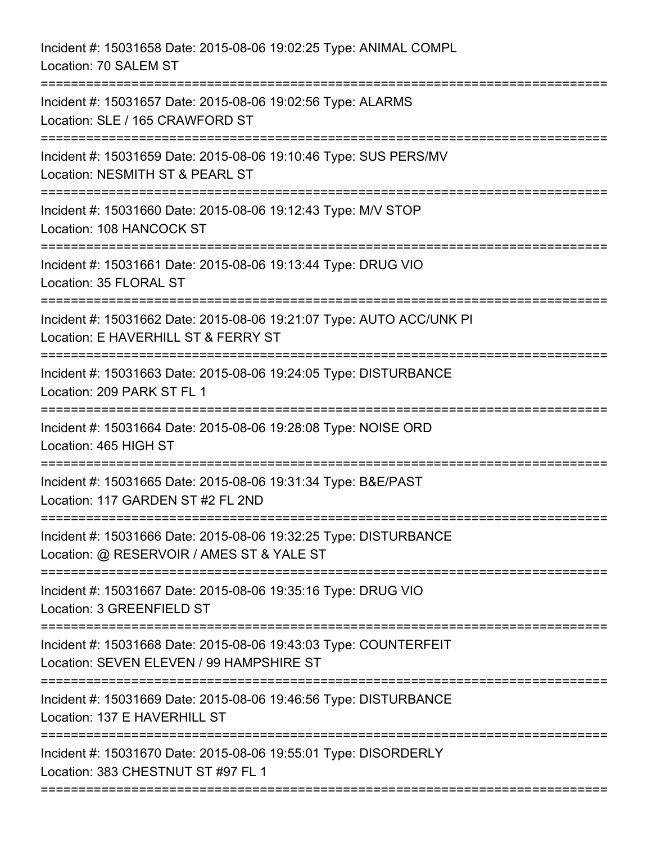| Incident #: 15031658 Date: 2015-08-06 19:02:25 Type: ANIMAL COMPL<br>Location: 70 SALEM ST                                                         |
|----------------------------------------------------------------------------------------------------------------------------------------------------|
| Incident #: 15031657 Date: 2015-08-06 19:02:56 Type: ALARMS<br>Location: SLE / 165 CRAWFORD ST                                                     |
| Incident #: 15031659 Date: 2015-08-06 19:10:46 Type: SUS PERS/MV<br>Location: NESMITH ST & PEARL ST                                                |
| Incident #: 15031660 Date: 2015-08-06 19:12:43 Type: M/V STOP<br>Location: 108 HANCOCK ST<br>.-------------                                        |
| Incident #: 15031661 Date: 2015-08-06 19:13:44 Type: DRUG VIO<br>Location: 35 FLORAL ST                                                            |
| Incident #: 15031662 Date: 2015-08-06 19:21:07 Type: AUTO ACC/UNK PI<br>Location: E HAVERHILL ST & FERRY ST                                        |
| Incident #: 15031663 Date: 2015-08-06 19:24:05 Type: DISTURBANCE<br>Location: 209 PARK ST FL 1<br>===================                              |
| Incident #: 15031664 Date: 2015-08-06 19:28:08 Type: NOISE ORD<br>Location: 465 HIGH ST                                                            |
| Incident #: 15031665 Date: 2015-08-06 19:31:34 Type: B&E/PAST<br>Location: 117 GARDEN ST #2 FL 2ND                                                 |
| Incident #: 15031666 Date: 2015-08-06 19:32:25 Type: DISTURBANCE<br>Location: @ RESERVOIR / AMES ST & YALE ST                                      |
| Incident #: 15031667 Date: 2015-08-06 19:35:16 Type: DRUG VIO<br>Location: 3 GREENFIELD ST                                                         |
| Incident #: 15031668 Date: 2015-08-06 19:43:03 Type: COUNTERFEIT<br>Location: SEVEN ELEVEN / 99 HAMPSHIRE ST<br>================================== |
| Incident #: 15031669 Date: 2015-08-06 19:46:56 Type: DISTURBANCE<br>Location: 137 E HAVERHILL ST                                                   |
| Incident #: 15031670 Date: 2015-08-06 19:55:01 Type: DISORDERLY<br>Location: 383 CHESTNUT ST #97 FL 1                                              |
|                                                                                                                                                    |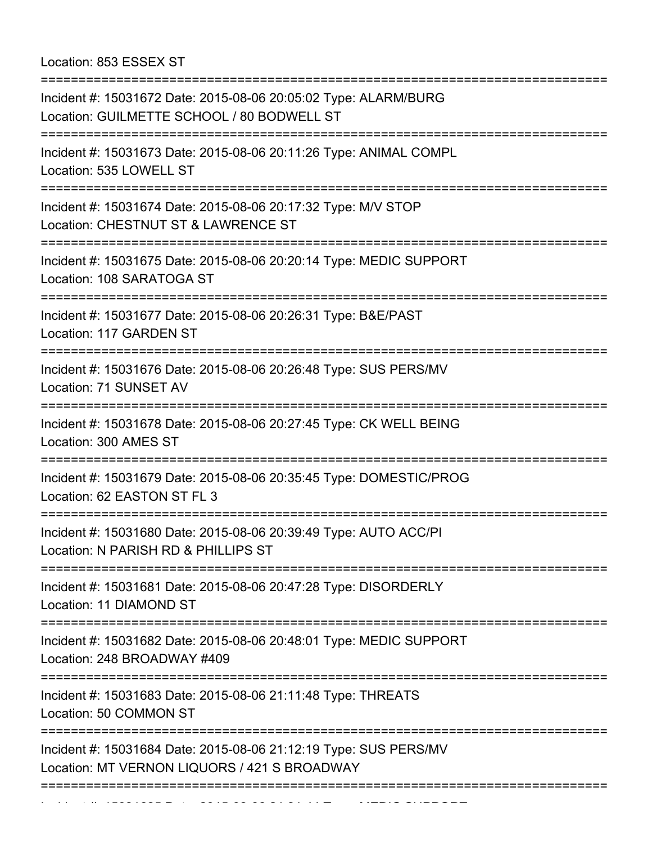Location: 853 ESSEX ST

| Incident #: 15031672 Date: 2015-08-06 20:05:02 Type: ALARM/BURG<br>Location: GUILMETTE SCHOOL / 80 BODWELL ST                                         |
|-------------------------------------------------------------------------------------------------------------------------------------------------------|
| Incident #: 15031673 Date: 2015-08-06 20:11:26 Type: ANIMAL COMPL<br>Location: 535 LOWELL ST<br>==================================                    |
| Incident #: 15031674 Date: 2015-08-06 20:17:32 Type: M/V STOP<br>Location: CHESTNUT ST & LAWRENCE ST                                                  |
| Incident #: 15031675 Date: 2015-08-06 20:20:14 Type: MEDIC SUPPORT<br>Location: 108 SARATOGA ST                                                       |
| Incident #: 15031677 Date: 2015-08-06 20:26:31 Type: B&E/PAST<br>Location: 117 GARDEN ST                                                              |
| Incident #: 15031676 Date: 2015-08-06 20:26:48 Type: SUS PERS/MV<br>Location: 71 SUNSET AV                                                            |
| ==========================<br>Incident #: 15031678 Date: 2015-08-06 20:27:45 Type: CK WELL BEING<br>Location: 300 AMES ST                             |
| Incident #: 15031679 Date: 2015-08-06 20:35:45 Type: DOMESTIC/PROG<br>Location: 62 EASTON ST FL 3                                                     |
| Incident #: 15031680 Date: 2015-08-06 20:39:49 Type: AUTO ACC/PI<br>Location: N PARISH RD & PHILLIPS ST                                               |
| Incident #: 15031681 Date: 2015-08-06 20:47:28 Type: DISORDERLY<br>Location: 11 DIAMOND ST                                                            |
| Incident #: 15031682 Date: 2015-08-06 20:48:01 Type: MEDIC SUPPORT<br>Location: 248 BROADWAY #409                                                     |
| Incident #: 15031683 Date: 2015-08-06 21:11:48 Type: THREATS<br>Location: 50 COMMON ST                                                                |
| =================================<br>Incident #: 15031684 Date: 2015-08-06 21:12:19 Type: SUS PERS/MV<br>Location: MT VERNON LIQUORS / 421 S BROADWAY |
|                                                                                                                                                       |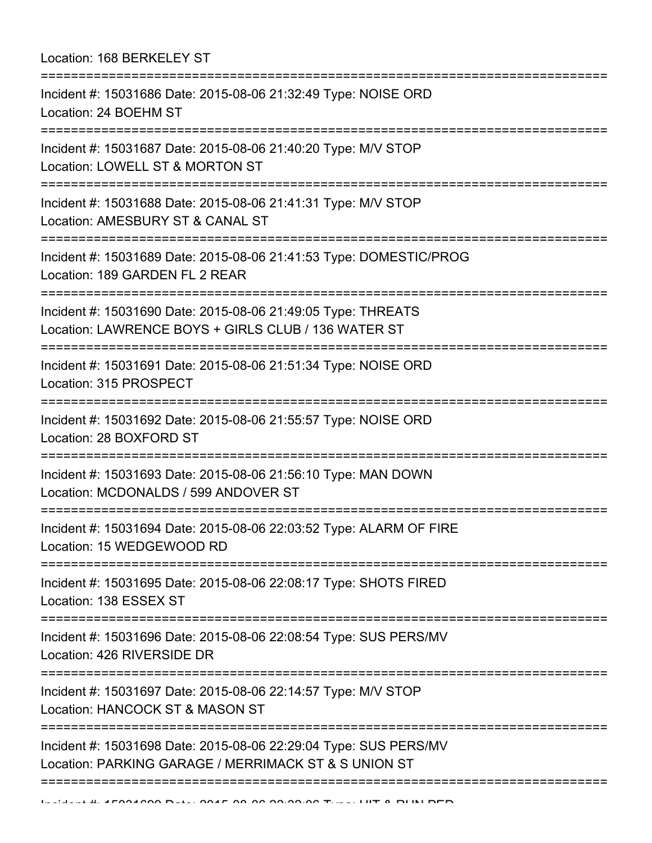| Location: 168 BERKELEY ST                                                                                                |
|--------------------------------------------------------------------------------------------------------------------------|
| Incident #: 15031686 Date: 2015-08-06 21:32:49 Type: NOISE ORD<br>Location: 24 BOEHM ST                                  |
| Incident #: 15031687 Date: 2015-08-06 21:40:20 Type: M/V STOP<br>Location: LOWELL ST & MORTON ST                         |
| Incident #: 15031688 Date: 2015-08-06 21:41:31 Type: M/V STOP<br>Location: AMESBURY ST & CANAL ST                        |
| Incident #: 15031689 Date: 2015-08-06 21:41:53 Type: DOMESTIC/PROG<br>Location: 189 GARDEN FL 2 REAR                     |
| Incident #: 15031690 Date: 2015-08-06 21:49:05 Type: THREATS<br>Location: LAWRENCE BOYS + GIRLS CLUB / 136 WATER ST      |
| Incident #: 15031691 Date: 2015-08-06 21:51:34 Type: NOISE ORD<br>Location: 315 PROSPECT                                 |
| Incident #: 15031692 Date: 2015-08-06 21:55:57 Type: NOISE ORD<br>Location: 28 BOXFORD ST                                |
| Incident #: 15031693 Date: 2015-08-06 21:56:10 Type: MAN DOWN<br>Location: MCDONALDS / 599 ANDOVER ST                    |
| Incident #: 15031694 Date: 2015-08-06 22:03:52 Type: ALARM OF FIRE<br>Location: 15 WEDGEWOOD RD                          |
| Incident #: 15031695 Date: 2015-08-06 22:08:17 Type: SHOTS FIRED<br>Location: 138 ESSEX ST                               |
| Incident #: 15031696 Date: 2015-08-06 22:08:54 Type: SUS PERS/MV<br>Location: 426 RIVERSIDE DR                           |
| Incident #: 15031697 Date: 2015-08-06 22:14:57 Type: M/V STOP<br>Location: HANCOCK ST & MASON ST                         |
| Incident #: 15031698 Date: 2015-08-06 22:29:04 Type: SUS PERS/MV<br>Location: PARKING GARAGE / MERRIMACK ST & S UNION ST |